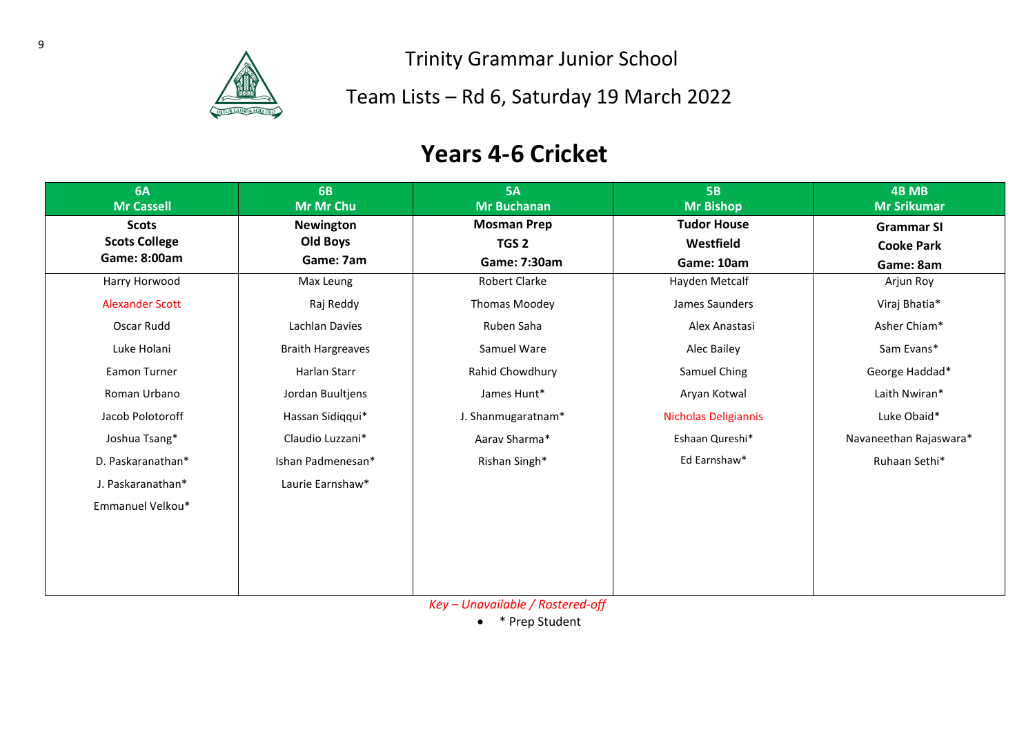

Team Lists – Rd 6, Saturday 19 March 2022

### **Years 4-6 Cricket**

| 6A<br><b>Mr Cassell</b> | <b>6B</b><br>Mr Mr Chu   | <b>5A</b><br><b>Mr Buchanan</b>                   | <b>5B</b><br><b>Mr Bishop</b> | 4B MB<br><b>Mr Srikumar</b> |
|-------------------------|--------------------------|---------------------------------------------------|-------------------------------|-----------------------------|
| <b>Scots</b>            | <b>Newington</b>         | <b>Mosman Prep</b>                                | <b>Tudor House</b>            | <b>Grammar SI</b>           |
| <b>Scots College</b>    | Old Boys                 | TGS <sub>2</sub>                                  | Westfield                     | <b>Cooke Park</b>           |
| Game: 8:00am            | Game: 7am                | Game: 7:30am                                      | Game: 10am                    | Game: 8am                   |
| Harry Horwood           | Max Leung                | Robert Clarke                                     | Hayden Metcalf                | Arjun Roy                   |
| <b>Alexander Scott</b>  | Raj Reddy                | Thomas Moodey                                     | James Saunders                | Viraj Bhatia*               |
| Oscar Rudd              | Lachlan Davies           | Ruben Saha                                        | Alex Anastasi                 | Asher Chiam*                |
| Luke Holani             | <b>Braith Hargreaves</b> | Samuel Ware                                       | Alec Bailey                   | Sam Evans*                  |
| <b>Eamon Turner</b>     | Harlan Starr             | Rahid Chowdhury                                   | Samuel Ching                  | George Haddad*              |
| Roman Urbano            | Jordan Buultjens         | James Hunt*                                       | Aryan Kotwal                  | Laith Nwiran*               |
| Jacob Polotoroff        | Hassan Sidiqqui*         | J. Shanmugaratnam*                                | Nicholas Deligiannis          | Luke Obaid*                 |
| Joshua Tsang*           | Claudio Luzzani*         | Aarav Sharma*                                     | Eshaan Qureshi*               | Navaneethan Rajaswara*      |
| D. Paskaranathan*       | Ishan Padmenesan*        | Rishan Singh*                                     | Ed Earnshaw*                  | Ruhaan Sethi*               |
| J. Paskaranathan*       | Laurie Earnshaw*         |                                                   |                               |                             |
| Emmanuel Velkou*        |                          |                                                   |                               |                             |
|                         |                          |                                                   |                               |                             |
|                         |                          |                                                   |                               |                             |
|                         |                          |                                                   |                               |                             |
|                         |                          | <i>V</i> are <i>Utramportable / Destroyed eff</i> |                               |                             |

*Key – Unavailable / Rostered-off*

• \* Prep Student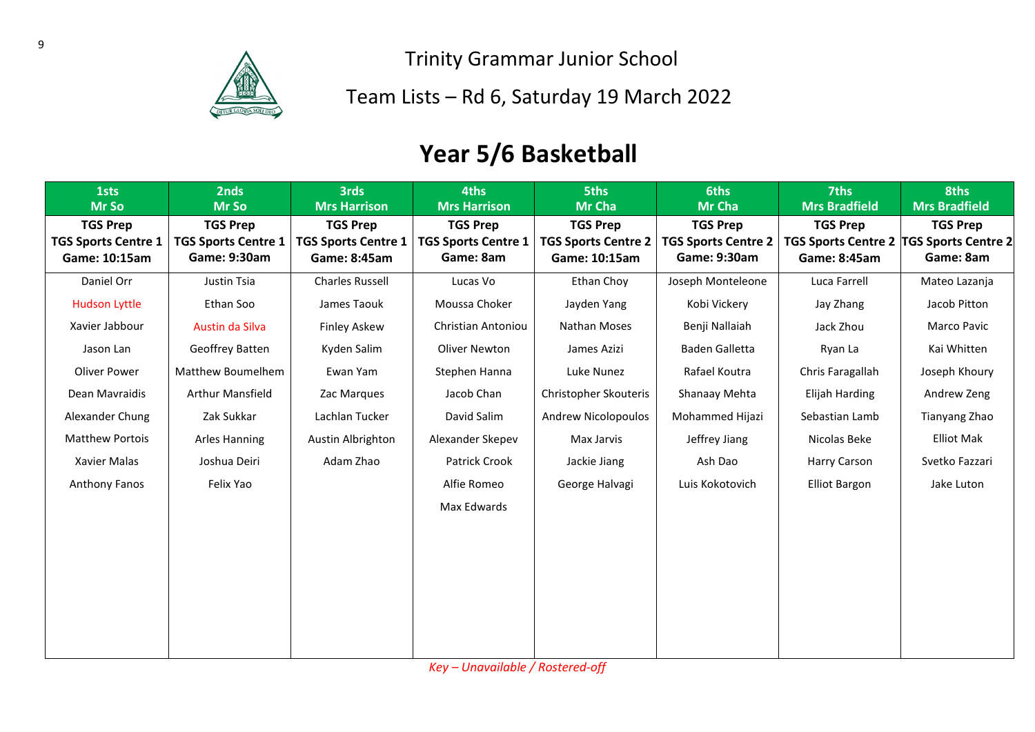

Team Lists – Rd 6, Saturday 19 March 2022

## **Year 5/6 Basketball**

| 1sts<br>Mr So                                                  | 2nds<br>Mr So                                                 | <b>3rds</b><br><b>Mrs Harrison</b>                            | 4ths<br><b>Mrs Harrison</b>                                | <b>5ths</b><br>Mr Cha                                          | <b>6ths</b><br>Mr Cha                                         | 7ths<br><b>Mrs Bradfield</b>                                                 | 8ths<br><b>Mrs Bradfield</b> |
|----------------------------------------------------------------|---------------------------------------------------------------|---------------------------------------------------------------|------------------------------------------------------------|----------------------------------------------------------------|---------------------------------------------------------------|------------------------------------------------------------------------------|------------------------------|
| <b>TGS Prep</b><br><b>TGS Sports Centre 1</b><br>Game: 10:15am | <b>TGS Prep</b><br><b>TGS Sports Centre 1</b><br>Game: 9:30am | <b>TGS Prep</b><br><b>TGS Sports Centre 1</b><br>Game: 8:45am | <b>TGS Prep</b><br><b>TGS Sports Centre 1</b><br>Game: 8am | <b>TGS Prep</b><br><b>TGS Sports Centre 2</b><br>Game: 10:15am | <b>TGS Prep</b><br><b>TGS Sports Centre 2</b><br>Game: 9:30am | <b>TGS Prep</b><br>TGS Sports Centre 2  TGS Sports Centre 2 <br>Game: 8:45am | <b>TGS Prep</b><br>Game: 8am |
| Daniel Orr                                                     | Justin Tsia                                                   | <b>Charles Russell</b>                                        | Lucas Vo                                                   | Ethan Choy                                                     | Joseph Monteleone                                             | Luca Farrell                                                                 | Mateo Lazanja                |
| <b>Hudson Lyttle</b>                                           | Ethan Soo                                                     | James Taouk                                                   | Moussa Choker                                              | Jayden Yang                                                    | Kobi Vickery                                                  | Jay Zhang                                                                    | Jacob Pitton                 |
| Xavier Jabbour                                                 | Austin da Silva                                               | <b>Finley Askew</b>                                           | Christian Antoniou                                         | Nathan Moses                                                   | Benji Nallaiah                                                | Jack Zhou                                                                    | Marco Pavic                  |
| Jason Lan                                                      | Geoffrey Batten                                               | Kyden Salim                                                   | Oliver Newton                                              | James Azizi                                                    | Baden Galletta                                                | Ryan La                                                                      | Kai Whitten                  |
| Oliver Power                                                   | Matthew Boumelhem                                             | Ewan Yam                                                      | Stephen Hanna                                              | Luke Nunez                                                     | Rafael Koutra                                                 | Chris Faragallah                                                             | Joseph Khoury                |
| Dean Mavraidis                                                 | Arthur Mansfield                                              | Zac Marques                                                   | Jacob Chan                                                 | Christopher Skouteris                                          | Shanaay Mehta                                                 | Elijah Harding                                                               | Andrew Zeng                  |
| Alexander Chung                                                | Zak Sukkar                                                    | Lachlan Tucker                                                | David Salim                                                | <b>Andrew Nicolopoulos</b>                                     | Mohammed Hijazi                                               | Sebastian Lamb                                                               | Tianyang Zhao                |
| <b>Matthew Portois</b>                                         | <b>Arles Hanning</b>                                          | Austin Albrighton                                             | Alexander Skepev                                           | Max Jarvis                                                     | Jeffrey Jiang                                                 | Nicolas Beke                                                                 | <b>Elliot Mak</b>            |
| Xavier Malas                                                   | Joshua Deiri                                                  | Adam Zhao                                                     | Patrick Crook                                              | Jackie Jiang                                                   | Ash Dao                                                       | Harry Carson                                                                 | Svetko Fazzari               |
| <b>Anthony Fanos</b>                                           | Felix Yao                                                     |                                                               | Alfie Romeo                                                | George Halvagi                                                 | Luis Kokotovich                                               | <b>Elliot Bargon</b>                                                         | Jake Luton                   |
|                                                                |                                                               |                                                               | Max Edwards                                                |                                                                |                                                               |                                                                              |                              |
|                                                                |                                                               |                                                               |                                                            |                                                                |                                                               |                                                                              |                              |
|                                                                |                                                               |                                                               |                                                            |                                                                |                                                               |                                                                              |                              |
|                                                                |                                                               |                                                               |                                                            |                                                                |                                                               |                                                                              |                              |
|                                                                |                                                               |                                                               |                                                            |                                                                |                                                               |                                                                              |                              |
|                                                                |                                                               |                                                               |                                                            |                                                                |                                                               |                                                                              |                              |
|                                                                |                                                               |                                                               |                                                            |                                                                |                                                               |                                                                              |                              |

*Key – Unavailable / Rostered-off*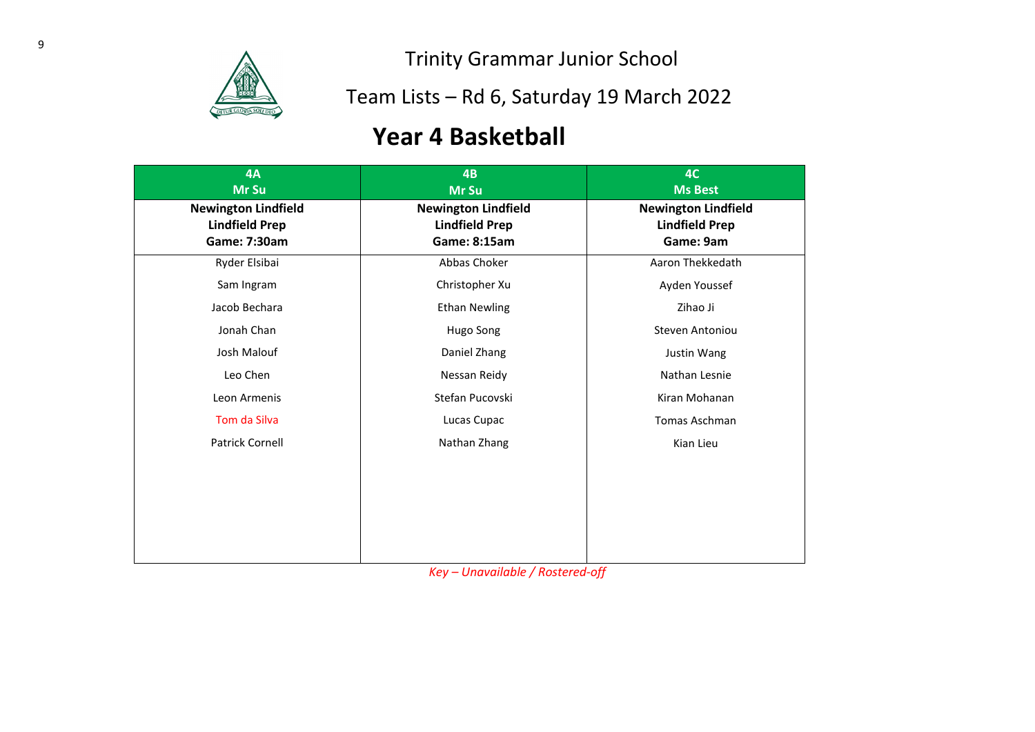

Team Lists – Rd 6, Saturday 19 March 2022

## **Year 4 Basketball**

| 4A<br>Mr Su                                                         | 4B<br>Mr Su                                                                                                      | 4C<br><b>Ms Best</b>                                             |
|---------------------------------------------------------------------|------------------------------------------------------------------------------------------------------------------|------------------------------------------------------------------|
| <b>Newington Lindfield</b><br><b>Lindfield Prep</b><br>Game: 7:30am | <b>Newington Lindfield</b><br><b>Lindfield Prep</b><br>Game: 8:15am                                              | <b>Newington Lindfield</b><br><b>Lindfield Prep</b><br>Game: 9am |
| Ryder Elsibai                                                       | Abbas Choker                                                                                                     | Aaron Thekkedath                                                 |
| Sam Ingram                                                          | Christopher Xu                                                                                                   | Ayden Youssef                                                    |
| Jacob Bechara                                                       | <b>Ethan Newling</b>                                                                                             | Zihao Ji                                                         |
| Jonah Chan                                                          | Hugo Song                                                                                                        | Steven Antoniou                                                  |
| Josh Malouf                                                         | Daniel Zhang                                                                                                     | Justin Wang                                                      |
| Leo Chen                                                            | Nessan Reidy                                                                                                     | Nathan Lesnie                                                    |
| Leon Armenis                                                        | Stefan Pucovski                                                                                                  | Kiran Mohanan                                                    |
| Tom da Silva                                                        | Lucas Cupac                                                                                                      | <b>Tomas Aschman</b>                                             |
| <b>Patrick Cornell</b>                                              | Nathan Zhang                                                                                                     | Kian Lieu                                                        |
|                                                                     | $\mathbf{u}$ , $\mathbf{u}$ , $\mathbf{u}$ , $\mathbf{u}$ , $\mathbf{u}$ , $\mathbf{u}$ , $\mathbf{u}$<br>$\sim$ | $\mathbf{r}$                                                     |

*Key – Unavailable / Rostered-off*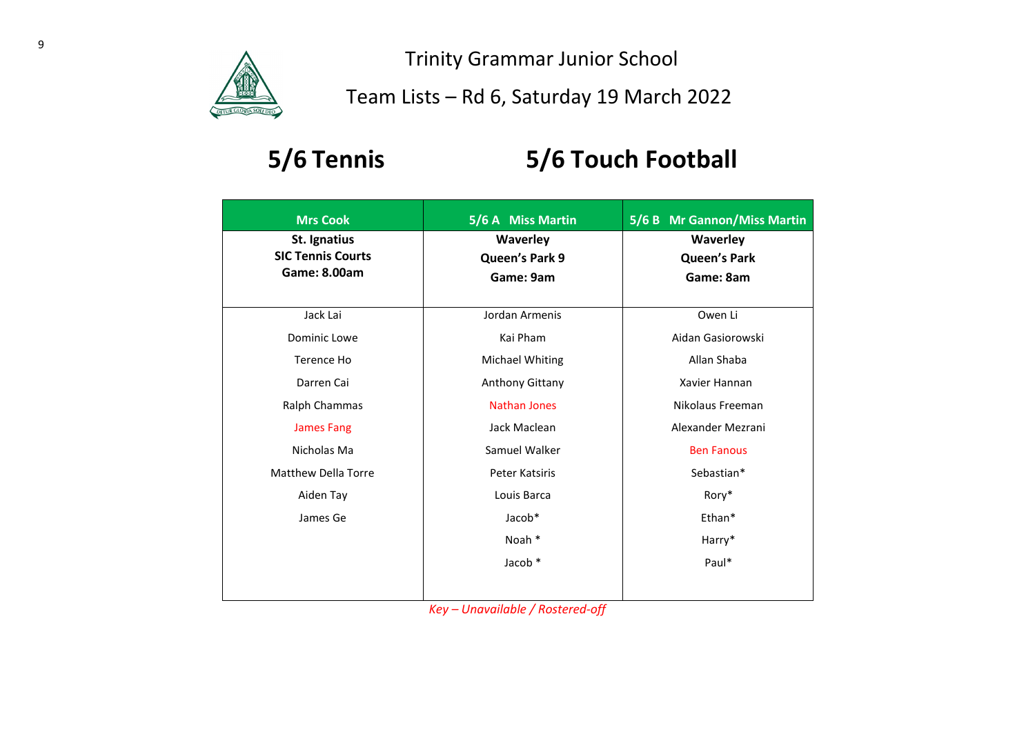

Team Lists – Rd 6, Saturday 19 March 2022

# **5/6 Tennis 5/6 Touch Football**

| <b>Mrs Cook</b>                                                 | 5/6 A Miss Martin                       | 5/6 B Mr Gannon/Miss Martin                  |
|-----------------------------------------------------------------|-----------------------------------------|----------------------------------------------|
| St. Ignatius<br><b>SIC Tennis Courts</b><br><b>Game: 8.00am</b> | Waverley<br>Queen's Park 9<br>Game: 9am | Waverley<br><b>Queen's Park</b><br>Game: 8am |
| Jack Lai                                                        | Jordan Armenis                          | Owen Li                                      |
| Dominic Lowe                                                    | Kai Pham                                | Aidan Gasiorowski                            |
| Terence Ho                                                      | <b>Michael Whiting</b>                  | Allan Shaba                                  |
| Darren Cai                                                      | Anthony Gittany                         | Xavier Hannan                                |
| Ralph Chammas                                                   | <b>Nathan Jones</b>                     | Nikolaus Freeman                             |
| <b>James Fang</b>                                               | Jack Maclean                            | Alexander Mezrani                            |
| Nicholas Ma                                                     | Samuel Walker                           | <b>Ben Fanous</b>                            |
| <b>Matthew Della Torre</b>                                      | Peter Katsiris                          | Sebastian*                                   |
| Aiden Tay                                                       | Louis Barca                             | Rory*                                        |
| James Ge                                                        | Jacob*                                  | Ethan*                                       |
|                                                                 | Noah *                                  | Harry*                                       |
|                                                                 | Jacob *                                 | Paul*                                        |
|                                                                 |                                         |                                              |

*Key – Unavailable / Rostered-off*